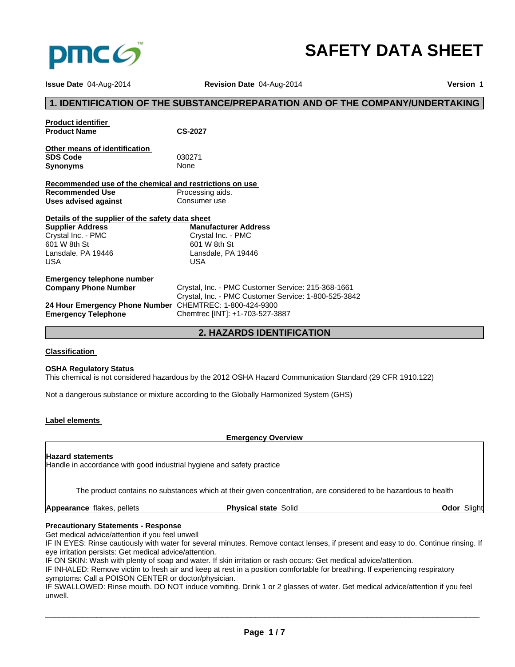

# **SAFETY DATA SHEET**

**Issue Date** 04-Aug-2014 **Revision Date** 04-Aug-2014 **Version** 1

# **1. IDENTIFICATION OF THE SUBSTANCE/PREPARATION AND OF THE COMPANY/UNDERTAKING Product identifier Product Name CS-2027 Other means of identification SDS Code** 030271 **Synonyms** None **Recommended use of the chemical and restrictions on use Recommended Use** Processing aids.<br> **Uses advised against** Consumer use **Uses advised against Details of the supplier of the safety data sheet Emergency telephone number**  Crystal, Inc. - PMC Customer Service: 215-368-1661 Crystal, Inc. - PMC Customer Service: 1-800-525-3842 **24 Hour Emergency Phone Number** CHEMTREC: 1-800-424-9300 **Emergency Telephone** Chemtrec [INT]: +1-703-527-3887 **2. HAZARDS IDENTIFICATION Supplier Address** Crystal Inc. - PMC 601 W 8th St Lansdale, PA 19446 USA **Manufacturer Address** Crystal Inc. - PMC 601 W 8th St Lansdale, PA 19446 USA

# **Classification**

### **OSHA Regulatory Status**

This chemical is not considered hazardous by the 2012 OSHA Hazard Communication Standard (29 CFR 1910.122)

Not a dangerous substance or mixture according to the Globally Harmonized System (GHS)

### **Label elements**

**Emergency Overview**

### **Hazard statements**

Handle in accordance with good industrial hygiene and safety practice

The product contains no substances which at their given concentration, are considered to be hazardous to health

**Appearance** flakes, pellets

**Physical state** Solid **Odor** Slight

# **Precautionary Statements - Response**

Get medical advice/attention if you feel unwell

IF IN EYES: Rinse cautiously with water for several minutes. Remove contact lenses, if present and easy to do. Continue rinsing. If eye irritation persists: Get medical advice/attention.

IF ON SKIN: Wash with plenty of soap and water. If skin irritation or rash occurs: Get medical advice/attention.

IF INHALED: Remove victim to fresh air and keep at rest in a position comfortable for breathing. If experiencing respiratory symptoms: Call a POISON CENTER or doctor/physician.

IF SWALLOWED: Rinse mouth. DO NOT induce vomiting. Drink 1 or 2 glasses of water. Get medical advice/attention if you feel unwell.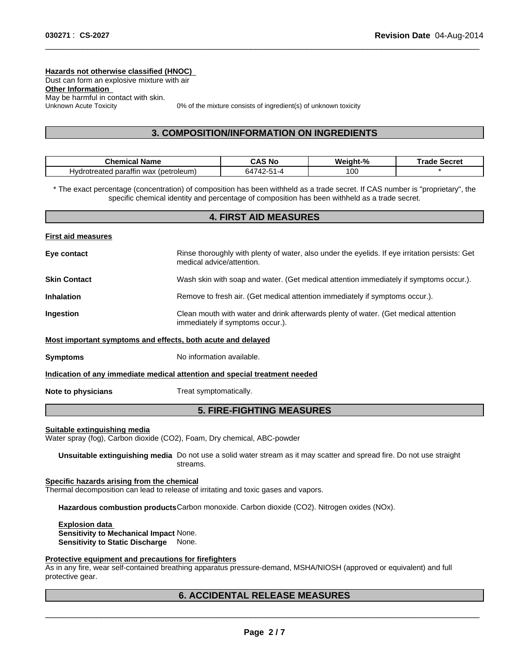**Hazards not otherwise classified (HNOC)**  Dust can form an explosive mixture with air **Other Information**  May be harmful in contact with skin.<br>Unknown Acute Toxicity

0% of the mixture consists of ingredient(s) of unknown toxicity

 $\overline{\phantom{a}}$  ,  $\overline{\phantom{a}}$  ,  $\overline{\phantom{a}}$  ,  $\overline{\phantom{a}}$  ,  $\overline{\phantom{a}}$  ,  $\overline{\phantom{a}}$  ,  $\overline{\phantom{a}}$  ,  $\overline{\phantom{a}}$  ,  $\overline{\phantom{a}}$  ,  $\overline{\phantom{a}}$  ,  $\overline{\phantom{a}}$  ,  $\overline{\phantom{a}}$  ,  $\overline{\phantom{a}}$  ,  $\overline{\phantom{a}}$  ,  $\overline{\phantom{a}}$  ,  $\overline{\phantom{a}}$ 

# **3. COMPOSITION/INFORMATION ON INGREDIENTS**

| .`hemio<br>Name<br>$$ nic $\tau$             | .∆. S<br>'N. | Weiaht-% | Secret<br>тан. |
|----------------------------------------------|--------------|----------|----------------|
| (petroleum)<br>wax<br>Hvdr<br>paramr<br>aler | hА<br>⊿- ا   | 100      |                |

\* The exact percentage (concentration) of composition has been withheld as a trade secret. If CAS number is "proprietary", the specific chemical identity and percentage of composition has been withheld as a trade secret.

| <b>4. FIRST AID MEASURES</b> |                                                                                                                             |  |
|------------------------------|-----------------------------------------------------------------------------------------------------------------------------|--|
| <b>First aid measures</b>    |                                                                                                                             |  |
| Eye contact                  | Rinse thoroughly with plenty of water, also under the eyelids. If eye irritation persists: Get<br>medical advice/attention. |  |
| <b>Skin Contact</b>          | Wash skin with soap and water. (Get medical attention immediately if symptoms occur.).                                      |  |
| <b>Inhalation</b>            | Remove to fresh air. (Get medical attention immediately if symptoms occur.).                                                |  |
| Ingestion                    | Clean mouth with water and drink afterwards plenty of water. (Get medical attention<br>immediately if symptoms occur.).     |  |
|                              | Most important symptoms and effects, both acute and delayed                                                                 |  |
| <b>Symptoms</b>              | No information available.                                                                                                   |  |
|                              | Indication of any immediate medical attention and special treatment needed                                                  |  |
| Note to physicians           | Treat symptomatically.                                                                                                      |  |
|                              | <b>5. FIRE-FIGHTING MEASURES</b>                                                                                            |  |

### **Suitable extinguishing media**

Water spray (fog), Carbon dioxide (CO2), Foam, Dry chemical, ABC-powder

**Unsuitable extinguishing media** Do not use a solid water stream as it may scatter and spread fire. Do not use straight streams.

### **Specific hazards arising from the chemical**

Thermal decomposition can lead to release of irritating and toxic gases and vapors.

**Hazardous combustion products**Carbon monoxide. Carbon dioxide (CO2). Nitrogen oxides (NOx).

**Explosion data Sensitivity to Mechanical Impact** None. **Sensitivity to Static Discharge** None.

### **Protective equipment and precautions for firefighters**

As in any fire, wear self-contained breathing apparatus pressure-demand, MSHA/NIOSH (approved or equivalent) and full protective gear.

# **6. ACCIDENTAL RELEASE MEASURES**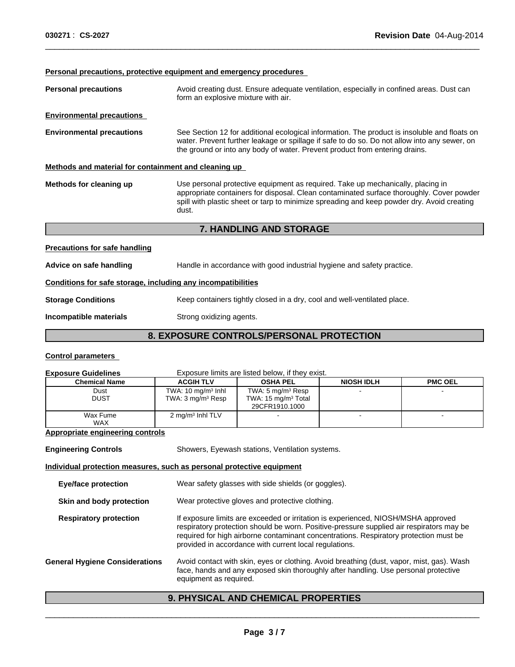**Personal precautions, protective equipment and emergency procedures** 

| <b>Personal precautions</b>                                  | Avoid creating dust. Ensure adequate ventilation, especially in confined areas. Dust can<br>form an explosive mixture with air.                                                                                                                                                    |
|--------------------------------------------------------------|------------------------------------------------------------------------------------------------------------------------------------------------------------------------------------------------------------------------------------------------------------------------------------|
| <b>Environmental precautions</b>                             |                                                                                                                                                                                                                                                                                    |
| <b>Environmental precautions</b>                             | See Section 12 for additional ecological information. The product is insoluble and floats on<br>water. Prevent further leakage or spillage if safe to do so. Do not allow into any sewer, on<br>the ground or into any body of water. Prevent product from entering drains.        |
| Methods and material for containment and cleaning up         |                                                                                                                                                                                                                                                                                    |
| Methods for cleaning up                                      | Use personal protective equipment as required. Take up mechanically, placing in<br>appropriate containers for disposal. Clean contaminated surface thoroughly. Cover powder<br>spill with plastic sheet or tarp to minimize spreading and keep powder dry. Avoid creating<br>dust. |
|                                                              | <b>7. HANDLING AND STORAGE</b>                                                                                                                                                                                                                                                     |
| <b>Precautions for safe handling</b>                         |                                                                                                                                                                                                                                                                                    |
| Advice on safe handling                                      | Handle in accordance with good industrial hygiene and safety practice.                                                                                                                                                                                                             |
| Conditions for safe storage, including any incompatibilities |                                                                                                                                                                                                                                                                                    |
| <b>Storage Conditions</b>                                    | Keep containers tightly closed in a dry, cool and well-ventilated place.                                                                                                                                                                                                           |
| Incompatible materials                                       | Strong oxidizing agents.                                                                                                                                                                                                                                                           |
|                                                              | EVBAAURE AAUFBALAIREBAAULI BRATEATIAU                                                                                                                                                                                                                                              |

 $\overline{\phantom{a}}$  ,  $\overline{\phantom{a}}$  ,  $\overline{\phantom{a}}$  ,  $\overline{\phantom{a}}$  ,  $\overline{\phantom{a}}$  ,  $\overline{\phantom{a}}$  ,  $\overline{\phantom{a}}$  ,  $\overline{\phantom{a}}$  ,  $\overline{\phantom{a}}$  ,  $\overline{\phantom{a}}$  ,  $\overline{\phantom{a}}$  ,  $\overline{\phantom{a}}$  ,  $\overline{\phantom{a}}$  ,  $\overline{\phantom{a}}$  ,  $\overline{\phantom{a}}$  ,  $\overline{\phantom{a}}$ 

# **8. EXPOSURE CONTROLS/PERSONAL PROTECTION**

# **Control parameters**

| <b>Exposure Guidelines</b>                                            |                                                               | Exposure limits are listed below, if they exist.                                                                                                                                                                                                                                                                                 |                   |                |
|-----------------------------------------------------------------------|---------------------------------------------------------------|----------------------------------------------------------------------------------------------------------------------------------------------------------------------------------------------------------------------------------------------------------------------------------------------------------------------------------|-------------------|----------------|
| <b>Chemical Name</b>                                                  | <b>ACGIH TLV</b>                                              | <b>OSHA PEL</b>                                                                                                                                                                                                                                                                                                                  | <b>NIOSH IDLH</b> | <b>PMC OEL</b> |
| Dust<br><b>DUST</b>                                                   | TWA: $10 \text{ mg/m}^3$ lnhl<br>TWA: $3 \text{ mg/m}^3$ Resp | TWA: 5 mg/m <sup>3</sup> Resp<br>TWA: $15 \text{ mg/m}^3$ Total<br>29CFR1910.1000                                                                                                                                                                                                                                                |                   |                |
| Wax Fume<br><b>WAX</b>                                                | 2 mg/m <sup>3</sup> Inhl TLV                                  |                                                                                                                                                                                                                                                                                                                                  |                   |                |
| Appropriate engineering controls                                      |                                                               |                                                                                                                                                                                                                                                                                                                                  |                   |                |
| <b>Engineering Controls</b>                                           |                                                               | Showers, Eyewash stations, Ventilation systems.                                                                                                                                                                                                                                                                                  |                   |                |
| Individual protection measures, such as personal protective equipment |                                                               |                                                                                                                                                                                                                                                                                                                                  |                   |                |
| <b>Eye/face protection</b>                                            |                                                               | Wear safety glasses with side shields (or goggles).                                                                                                                                                                                                                                                                              |                   |                |
| Skin and body protection                                              |                                                               | Wear protective gloves and protective clothing.                                                                                                                                                                                                                                                                                  |                   |                |
| <b>Respiratory protection</b>                                         |                                                               | If exposure limits are exceeded or irritation is experienced, NIOSH/MSHA approved<br>respiratory protection should be worn. Positive-pressure supplied air respirators may be<br>required for high airborne contaminant concentrations. Respiratory protection must be<br>provided in accordance with current local regulations. |                   |                |
| <b>General Hygiene Considerations</b>                                 | equipment as required.                                        | Avoid contact with skin, eyes or clothing. Avoid breathing (dust, vapor, mist, gas). Wash<br>face, hands and any exposed skin thoroughly after handling. Use personal protective                                                                                                                                                 |                   |                |

# **9. PHYSICAL AND CHEMICAL PROPERTIES**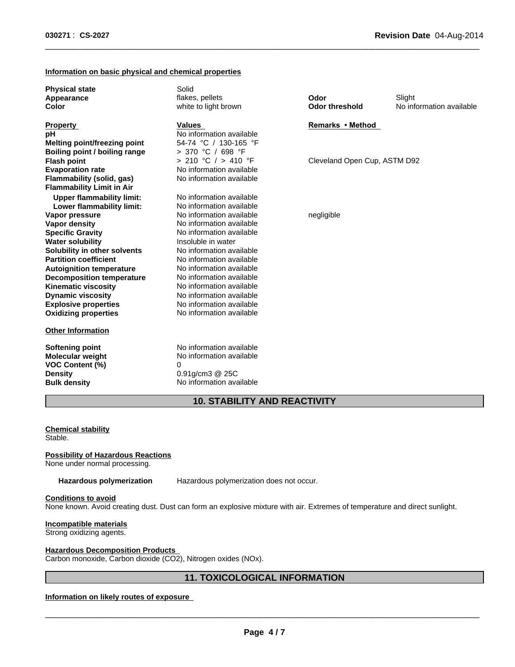# **Information on basic physical and chemical properties**

| <b>Physical state</b><br>Appearance<br>Color                                                                                  | Solid<br>flakes, pellets<br>white to light brown                                                               | Odor<br><b>Odor threshold</b> | Slight<br>No information available |
|-------------------------------------------------------------------------------------------------------------------------------|----------------------------------------------------------------------------------------------------------------|-------------------------------|------------------------------------|
| <b>Property</b><br>рH<br><b>Melting point/freezing point</b>                                                                  | <b>Values</b><br>No information available<br>54-74 °C / 130-165 °F                                             | Remarks • Method              |                                    |
| Boiling point / boiling range<br><b>Flash point</b><br><b>Evaporation rate</b><br>Flammability (solid, gas)                   | > 370 °C / 698 °F<br>> 210 °C / > 410 °F<br>No information available<br>No information available               | Cleveland Open Cup, ASTM D92  |                                    |
| <b>Flammability Limit in Air</b><br><b>Upper flammability limit:</b><br>Lower flammability limit:                             | No information available<br>No information available                                                           |                               |                                    |
| Vapor pressure<br>Vapor density<br><b>Specific Gravity</b>                                                                    | No information available<br>No information available<br>No information available                               | negligible                    |                                    |
| <b>Water solubility</b><br>Solubility in other solvents<br><b>Partition coefficient</b>                                       | Insoluble in water<br>No information available<br>No information available                                     |                               |                                    |
| <b>Autoignition temperature</b><br><b>Decomposition temperature</b><br><b>Kinematic viscosity</b><br><b>Dynamic viscosity</b> | No information available<br>No information available<br>No information available<br>No information available   |                               |                                    |
| <b>Explosive properties</b><br><b>Oxidizing properties</b>                                                                    | No information available<br>No information available                                                           |                               |                                    |
| <b>Other Information</b>                                                                                                      |                                                                                                                |                               |                                    |
| <b>Softening point</b><br><b>Molecular weight</b><br><b>VOC Content (%)</b><br><b>Density</b><br><b>Bulk density</b>          | No information available<br>No information available<br>0<br>$0.91$ g/cm $3$ @ 25C<br>No information available |                               |                                    |

 $\overline{\phantom{a}}$  ,  $\overline{\phantom{a}}$  ,  $\overline{\phantom{a}}$  ,  $\overline{\phantom{a}}$  ,  $\overline{\phantom{a}}$  ,  $\overline{\phantom{a}}$  ,  $\overline{\phantom{a}}$  ,  $\overline{\phantom{a}}$  ,  $\overline{\phantom{a}}$  ,  $\overline{\phantom{a}}$  ,  $\overline{\phantom{a}}$  ,  $\overline{\phantom{a}}$  ,  $\overline{\phantom{a}}$  ,  $\overline{\phantom{a}}$  ,  $\overline{\phantom{a}}$  ,  $\overline{\phantom{a}}$ 

# **10. STABILITY AND REACTIVITY**

### **Chemical stability** Stable.

### **Possibility of Hazardous Reactions**

None under normal processing.

**Hazardous polymerization** Hazardous polymerization does not occur.

# **Conditions to avoid**

None known. Avoid creating dust. Dust can form an explosive mixture with air. Extremes of temperature and direct sunlight.

# **Incompatible materials**

Strong oxidizing agents.

### **Hazardous Decomposition Products**

Carbon monoxide, Carbon dioxide (CO2), Nitrogen oxides (NOx).

# **11. TOXICOLOGICAL INFORMATION**

# **Information on likely routes of exposure**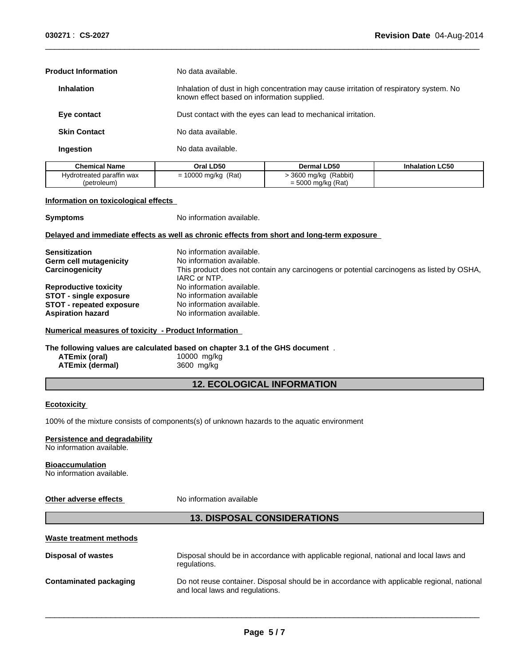| No data available.                                                                                                                     |
|----------------------------------------------------------------------------------------------------------------------------------------|
| Inhalation of dust in high concentration may cause irritation of respiratory system. No<br>known effect based on information supplied. |
| Dust contact with the eyes can lead to mechanical irritation.                                                                          |
| No data available.                                                                                                                     |
| No data available.                                                                                                                     |
|                                                                                                                                        |

 $\overline{\phantom{a}}$  ,  $\overline{\phantom{a}}$  ,  $\overline{\phantom{a}}$  ,  $\overline{\phantom{a}}$  ,  $\overline{\phantom{a}}$  ,  $\overline{\phantom{a}}$  ,  $\overline{\phantom{a}}$  ,  $\overline{\phantom{a}}$  ,  $\overline{\phantom{a}}$  ,  $\overline{\phantom{a}}$  ,  $\overline{\phantom{a}}$  ,  $\overline{\phantom{a}}$  ,  $\overline{\phantom{a}}$  ,  $\overline{\phantom{a}}$  ,  $\overline{\phantom{a}}$  ,  $\overline{\phantom{a}}$ 

| <b>Chemical Name</b>      | Oral LD50            | <b>Dermal LD50</b>  | <b>Inhalation LC50</b> |
|---------------------------|----------------------|---------------------|------------------------|
| Hvdrotreated paraffin wax | (Rat)<br>10000 mg/kg | 3600 mg/kg (Rabbit) |                        |
| (petroleum)               |                      | = 5000 mg/kg (Rat)  |                        |

### **Information on toxicological effects**

**Symptoms** No information available.

# **Delayed and immediate effects as well as chronic effects from short and long-term exposure**

| No information available.                                                                 |
|-------------------------------------------------------------------------------------------|
| No information available.                                                                 |
| This product does not contain any carcinogens or potential carcinogens as listed by OSHA, |
| IARC or NTP.                                                                              |
| No information available.                                                                 |
| No information available                                                                  |
| No information available.                                                                 |
| No information available.                                                                 |
|                                                                                           |

### **Numerical measures of toxicity - Product Information**

**The following values are calculated based on chapter 3.1 of the GHS document** .

| ATEmix (oral)          | 10000 mg/kg |
|------------------------|-------------|
| <b>ATEmix (dermal)</b> | 3600 mg/kg  |

# **12. ECOLOGICAL INFORMATION**

# **Ecotoxicity**

100% of the mixture consists of components(s) of unknown hazards to the aquatic environment

### **Persistence and degradability**

No information available.

### **Bioaccumulation**

No information available.

# **Other adverse effects** No information available

# **13. DISPOSAL CONSIDERATIONS**

# **Waste treatment methods**

| Disposal of wastes     | Disposal should be in accordance with applicable regional, national and local laws and<br>regulations.                         |
|------------------------|--------------------------------------------------------------------------------------------------------------------------------|
| Contaminated packaging | Do not reuse container. Disposal should be in accordance with applicable regional, national<br>and local laws and regulations. |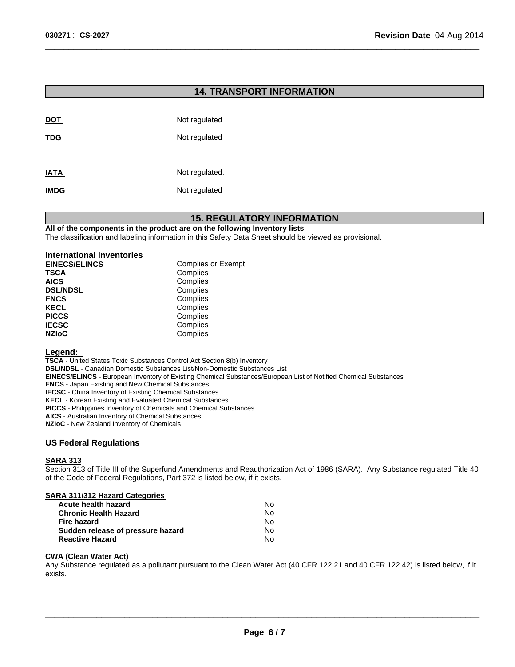# **14. TRANSPORT INFORMATION**

 $\overline{\phantom{a}}$  ,  $\overline{\phantom{a}}$  ,  $\overline{\phantom{a}}$  ,  $\overline{\phantom{a}}$  ,  $\overline{\phantom{a}}$  ,  $\overline{\phantom{a}}$  ,  $\overline{\phantom{a}}$  ,  $\overline{\phantom{a}}$  ,  $\overline{\phantom{a}}$  ,  $\overline{\phantom{a}}$  ,  $\overline{\phantom{a}}$  ,  $\overline{\phantom{a}}$  ,  $\overline{\phantom{a}}$  ,  $\overline{\phantom{a}}$  ,  $\overline{\phantom{a}}$  ,  $\overline{\phantom{a}}$ 

| <b>DOT</b>  | Not regulated  |
|-------------|----------------|
| <b>TDG</b>  | Not regulated  |
|             |                |
| <b>IATA</b> | Not regulated. |
| <b>IMDG</b> | Not regulated  |

# **15. REGULATORY INFORMATION**

**All of the components in the product are on the following Inventory lists**

The classification and labeling information in this Safety Data Sheet should be viewed as provisional.

| <b>International Inventories</b> |                           |
|----------------------------------|---------------------------|
| <b>EINECS/ELINCS</b>             | <b>Complies or Exempt</b> |
| <b>TSCA</b>                      | Complies                  |
| <b>AICS</b>                      | Complies                  |
| <b>DSL/NDSL</b>                  | Complies                  |
| <b>ENCS</b>                      | Complies                  |
| <b>KECL</b>                      | Complies                  |
| <b>PICCS</b>                     | Complies                  |
| <b>IECSC</b>                     | Complies                  |
| <b>NZIoC</b>                     | Complies                  |

# **Legend:**

**TSCA** - United States Toxic Substances Control Act Section 8(b) Inventory **DSL/NDSL** - Canadian Domestic Substances List/Non-Domestic Substances List **EINECS/ELINCS** - European Inventory of Existing Chemical Substances/European List of Notified Chemical Substances **ENCS** - Japan Existing and New Chemical Substances **IECSC** - China Inventory of Existing Chemical Substances **KECL** - Korean Existing and Evaluated Chemical Substances **PICCS** - Philippines Inventory of Chemicals and Chemical Substances **AICS** - Australian Inventory of Chemical Substances

**NZIoC** - New Zealand Inventory of Chemicals

### **US Federal Regulations**

### **SARA 313**

Section 313 of Title III of the Superfund Amendments and Reauthorization Act of 1986 (SARA). Any Substance regulated Title 40 of the Code of Federal Regulations, Part 372 is listed below, if it exists.

# **SARA 311/312 Hazard Categories**

| <b>Acute health hazard</b>        | N٥ |
|-----------------------------------|----|
| <b>Chronic Health Hazard</b>      | N٥ |
| <b>Fire hazard</b>                | N٥ |
| Sudden release of pressure hazard | No |
| <b>Reactive Hazard</b>            | No |

# **CWA (Clean Water Act)**

Any Substance regulated as a pollutant pursuant to the Clean Water Act (40 CFR 122.21 and 40 CFR 122.42) is listed below, if it exists.